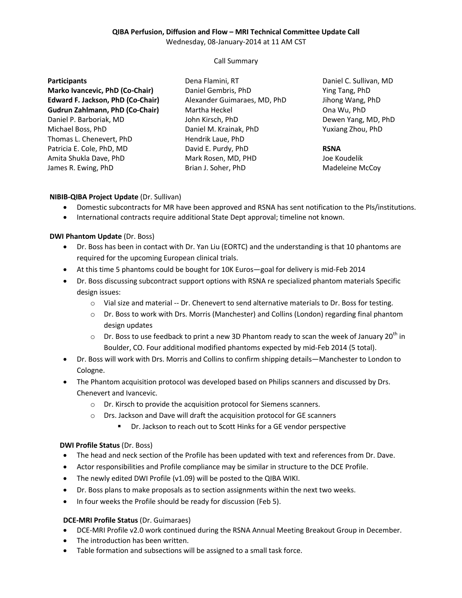# **QIBA Perfusion, Diffusion and Flow – MRI Technical Committee Update Call**

Wednesday, 08-January-2014 at 11 AM CST

### Call Summary

#### **Participants**

**Marko Ivancevic, PhD (Co-Chair) Edward F. Jackson, PhD (Co-Chair) Gudrun Zahlmann, PhD (Co-Chair)** Daniel P. Barboriak, MD Michael Boss, PhD Thomas L. Chenevert, PhD Patricia E. Cole, PhD, MD Amita Shukla Dave, PhD James R. Ewing, PhD

Dena Flamini, RT Daniel Gembris, PhD Alexander Guimaraes, MD, PhD Martha Heckel John Kirsch, PhD Daniel M. Krainak, PhD Hendrik Laue, PhD David E. Purdy, PhD Mark Rosen, MD, PHD Brian J. Soher, PhD

Daniel C. Sullivan, MD Ying Tang, PhD Jihong Wang, PhD Ona Wu, PhD Dewen Yang, MD, PhD Yuxiang Zhou, PhD

# **RSNA**

Joe Koudelik Madeleine McCoy

### **NIBIB-QIBA Project Update** (Dr. Sullivan)

- Domestic subcontracts for MR have been approved and RSNA has sent notification to the PIs/institutions.
- International contracts require additional State Dept approval; timeline not known.

### **DWI Phantom Update** (Dr. Boss)

- Dr. Boss has been in contact with Dr. Yan Liu (EORTC) and the understanding is that 10 phantoms are required for the upcoming European clinical trials.
- At this time 5 phantoms could be bought for 10K Euros—goal for delivery is mid-Feb 2014
- Dr. Boss discussing subcontract support options with RSNA re specialized phantom materials Specific design issues:
	- o Vial size and material -- Dr. Chenevert to send alternative materials to Dr. Boss for testing.
	- o Dr. Boss to work with Drs. Morris (Manchester) and Collins (London) regarding final phantom design updates
	- $\circ$  Dr. Boss to use feedback to print a new 3D Phantom ready to scan the week of January 20<sup>th</sup> in Boulder, CO. Four additional modified phantoms expected by mid-Feb 2014 (5 total).
- Dr. Boss will work with Drs. Morris and Collins to confirm shipping details—Manchester to London to Cologne.
- The Phantom acquisition protocol was developed based on Philips scanners and discussed by Drs. Chenevert and Ivancevic.
	- o Dr. Kirsch to provide the acquisition protocol for Siemens scanners.
	- o Drs. Jackson and Dave will draft the acquisition protocol for GE scanners
		- Dr. Jackson to reach out to Scott Hinks for a GE vendor perspective

### **DWI Profile Status** (Dr. Boss)

- The head and neck section of the Profile has been updated with text and references from Dr. Dave.
- Actor responsibilities and Profile compliance may be similar in structure to the DCE Profile.
- The newly edited DWI Profile (v1.09) will be posted to the QIBA WIKI.
- Dr. Boss plans to make proposals as to section assignments within the next two weeks.
- In four weeks the Profile should be ready for discussion (Feb 5).

### **DCE-MRI Profile Status** (Dr. Guimaraes)

- DCE-MRI Profile v2.0 work continued during the RSNA Annual Meeting Breakout Group in December.
- The introduction has been written.
- Table formation and subsections will be assigned to a small task force.